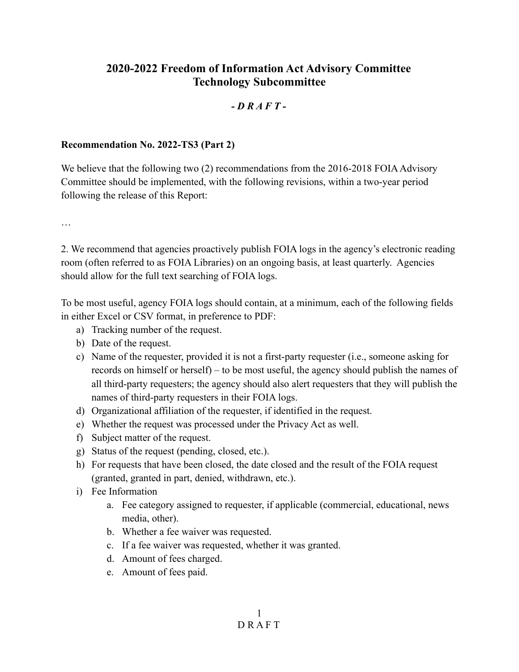## **2020-2022 Freedom of Information Act Advisory Committee Technology Subcommittee**

## *- D R A F T -*

## **Recommendation No. 2022-TS3 (Part 2)**

We believe that the following two (2) recommendations from the 2016-2018 FOIA Advisory Committee should be implemented, with the following revisions, within a two-year period following the release of this Report:

…

2. We recommend that agencies proactively publish FOIA logs in the agency's electronic reading room (often referred to as FOIA Libraries) on an ongoing basis, at least quarterly. Agencies should allow for the full text searching of FOIA logs.

To be most useful, agency FOIA logs should contain, at a minimum, each of the following fields in either Excel or CSV format, in preference to PDF:

- a) Tracking number of the request.
- b) Date of the request.
- c) Name of the requester, provided it is not a first-party requester (i.e., someone asking for records on himself or herself) – to be most useful, the agency should publish the names of all third-party requesters; the agency should also alert requesters that they will publish the names of third-party requesters in their FOIA logs.
- d) Organizational affiliation of the requester, if identified in the request.
- e) Whether the request was processed under the Privacy Act as well.
- f) Subject matter of the request.
- g) Status of the request (pending, closed, etc.).
- h) For requests that have been closed, the date closed and the result of the FOIA request (granted, granted in part, denied, withdrawn, etc.).
- i) Fee Information
	- a. Fee category assigned to requester, if applicable (commercial, educational, news media, other).
	- b. Whether a fee waiver was requested.
	- c. If a fee waiver was requested, whether it was granted.
	- d. Amount of fees charged.
	- e. Amount of fees paid.

1 D R A F T